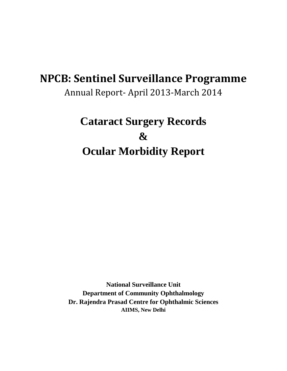# **NPCB: Sentinel Surveillance Programme**

Annual Report- April 2013-March 2014

# **Cataract Surgery Records & Ocular Morbidity Report**

**National Surveillance Unit Department of Community Ophthalmology Dr. Rajendra Prasad Centre for Ophthalmic Sciences AIIMS, New Delhi**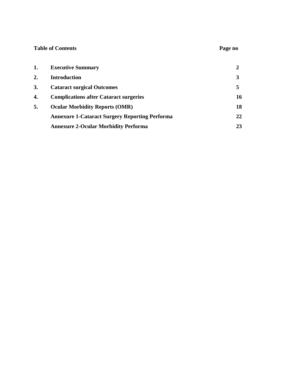### **Table of Contents Page no**

| 1. | <b>Executive Summary</b>                              |    |
|----|-------------------------------------------------------|----|
| 2. | <b>Introduction</b>                                   |    |
| 3. | <b>Cataract surgical Outcomes</b>                     |    |
| 4. | <b>Complications after Cataract surgeries</b>         | 16 |
| 5. | <b>Ocular Morbidity Reports (OMR)</b>                 | 18 |
|    | <b>Annexure 1-Cataract Surgery Reporting Performa</b> | 22 |
|    | <b>Annexure 2-Ocular Morbidity Performa</b>           | 23 |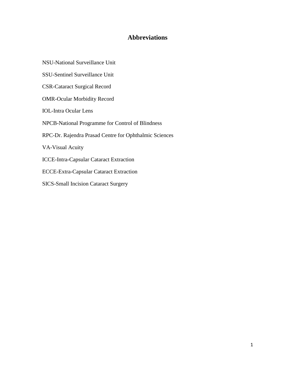### **Abbreviations**

- NSU-National Surveillance Unit
- SSU-Sentinel Surveillance Unit
- CSR-Cataract Surgical Record
- OMR-Ocular Morbidity Record
- IOL-Intra Ocular Lens
- NPCB-National Programme for Control of Blindness
- RPC-Dr. Rajendra Prasad Centre for Ophthalmic Sciences

VA-Visual Acuity

- ICCE-Intra-Capsular Cataract Extraction
- ECCE-Extra-Capsular Cataract Extraction
- SICS-Small Incision Cataract Surgery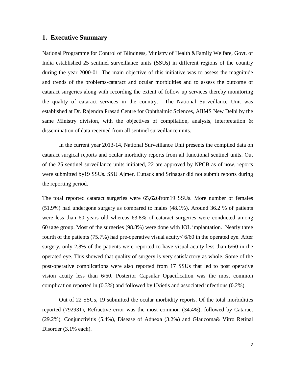#### <span id="page-3-0"></span>**1. Executive Summary**

National Programme for Control of Blindness, Ministry of Health &Family Welfare, Govt. of India established 25 sentinel surveillance units (SSUs) in different regions of the country during the year 2000-01. The main objective of this initiative was to assess the magnitude and trends of the problems-cataract and ocular morbidities and to assess the outcome of cataract surgeries along with recording the extent of follow up services thereby monitoring the quality of cataract services in the country. The National Surveillance Unit was established at Dr. Rajendra Prasad Centre for Ophthalmic Sciences, AIIMS New Delhi by the same Ministry division, with the objectives of compilation, analysis, interpretation  $\&$ dissemination of data received from all sentinel surveillance units.

In the current year 2013-14, National Surveillance Unit presents the compiled data on cataract surgical reports and ocular morbidity reports from all functional sentinel units. Out of the 25 sentinel surveillance units initiated, 22 are approved by NPCB as of now, reports were submitted by19 SSUs. SSU Ajmer, Cuttack and Srinagar did not submit reports during the reporting period.

The total reported cataract surgeries were 65,626from19 SSUs. More number of females (51.9%) had undergone surgery as compared to males (48.1%). Around 36.2 % of patients were less than 60 years old whereas 63.8% of cataract surgeries were conducted among 60+age group. Most of the surgeries (98.8%) were done with IOL implantation. Nearly three fourth of the patients (75.7%) had pre-operative visual acuity< 6/60 in the operated eye. After surgery, only 2.8% of the patients were reported to have visual acuity less than 6/60 in the operated eye. This showed that quality of surgery is very satisfactory as whole. Some of the post-operative complications were also reported from 17 SSUs that led to post operative vision acuity less than 6/60. Posterior Capsular Opacification was the most common complication reported in (0.3%) and followed by Uvietis and associated infections (0.2%).

Out of 22 SSUs, 19 submitted the ocular morbidity reports. Of the total morbidities reported (792931), Refractive error was the most common (34.4%), followed by Cataract (29.2%), Conjunctivitis (5.4%), Disease of Adnexa (3.2%) and Glaucoma& Vitro Retinal Disorder (3.1% each).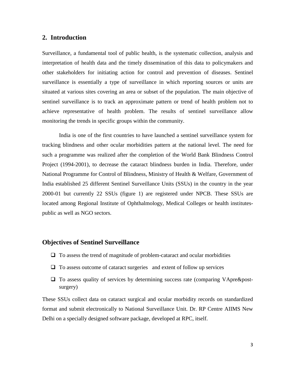#### <span id="page-4-0"></span>**2. Introduction**

Surveillance, a fundamental tool of public health, is the systematic collection, analysis and interpretation of health data and the timely dissemination of this data to policymakers and other stakeholders for initiating action for control and prevention of diseases. Sentinel surveillance is essentially a type of surveillance in which reporting sources or units are situated at various sites covering an area or subset of the population. The main objective of sentinel surveillance is to track an approximate pattern or trend of health problem not to achieve representative of health problem. The results of sentinel surveillance allow monitoring the trends in specific groups within the community.

India is one of the first countries to have launched a sentinel surveillance system for tracking blindness and other ocular morbidities pattern at the national level. The need for such a programme was realized after the completion of the World Bank Blindness Control Project (1994-2001), to decrease the cataract blindness burden in India. Therefore, under National Programme for Control of Blindness, Ministry of Health & Welfare, Government of India established 25 different Sentinel Surveillance Units (SSUs) in the country in the year 2000-01 but currently 22 SSUs (figure 1) are registered under NPCB. These SSUs are located among Regional Institute of Ophthalmology, Medical Colleges or health institutespublic as well as NGO sectors.

## **Objectives of Sentinel Surveillance**

- $\Box$  To assess the trend of magnitude of problem-cataract and ocular morbidities
- $\Box$  To assess outcome of cataract surgeries and extent of follow up services
- $\Box$  To assess quality of services by determining success rate (comparing VApre&postsurgery)

These SSUs collect data on cataract surgical and ocular morbidity records on standardized format and submit electronically to National Surveillance Unit. Dr. RP Centre AIIMS New Delhi on a specially designed software package, developed at RPC, itself.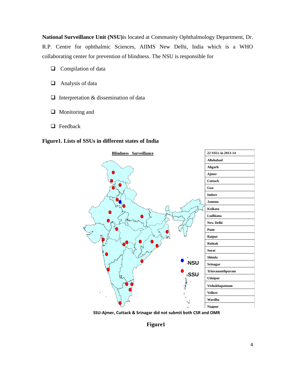**National Surveillance Unit (NSU)**is located at Community Ophthalmology Department, Dr. R.P. Centre for ophthalmic Sciences, AIIMS New Delhi, India which is a WHO collaborating center for prevention of blindness. The NSU is responsible for

- $\Box$  Compilation of data
- $\Box$  Analysis of data
- $\Box$  Interpretation & dissemination of data
- □ Monitoring and
- **Q** Feedback

#### **Figure1. Lists of SSUs in different states of India**



**SSU-Ajmer, Cuttack & Srinagar did not submit both CSR and OMR Location of SSUs**

**Figure1**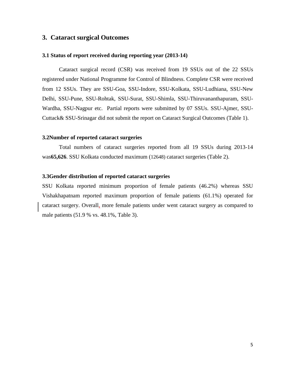#### <span id="page-6-0"></span>**3. Cataract surgical Outcomes**

#### **3.1 Status of report received during reporting year (2013-14)**

Cataract surgical record (CSR) was received from 19 SSUs out of the 22 SSUs registered under National Programme for Control of Blindness. Complete CSR were received from 12 SSUs. They are SSU-Goa, SSU-Indore, SSU-Kolkata, SSU-Ludhiana, SSU-New Delhi, SSU-Pune, SSU-Rohtak, SSU-Surat, SSU-Shimla, SSU-Thiruvananthapuram, SSU-Wardha, SSU-Nagpur etc. Partial reports were submitted by 07 SSUs. SSU-Ajmer, SSU-Cuttack& SSU-Srinagar did not submit the report on Cataract Surgical Outcomes (Table 1).

#### **3.2Number of reported cataract surgeries**

Total numbers of cataract surgeries reported from all 19 SSUs during 2013-14 was**65,626**. SSU Kolkata conducted maximum (12648) cataract surgeries (Table 2).

#### **3.3Gender distribution of reported cataract surgeries**

SSU Kolkata reported minimum proportion of female patients (46.2%) whereas SSU Vishakhapatnam reported maximum proportion of female patients (61.1%) operated for cataract surgery. Overall, more female patients under went cataract surgery as compared to male patients (51.9 % vs. 48.1%, Table 3).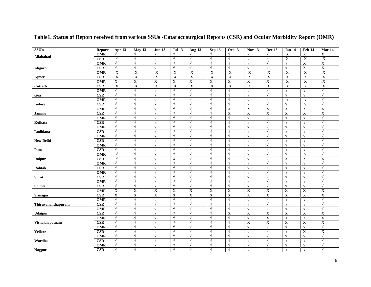| SSU's              | <b>Reports</b>          | Apr-13                | $May-13$              | $Jun-13$       | <b>Jul-13</b>  | <b>Aug-13</b>         | $Sep-13$                 | <b>Oct-13</b>  | <b>Nov-13</b>             | <b>Dec-13</b>             | $Jan-14$       | $Feb-14$                  | $Mar-14$                  |
|--------------------|-------------------------|-----------------------|-----------------------|----------------|----------------|-----------------------|--------------------------|----------------|---------------------------|---------------------------|----------------|---------------------------|---------------------------|
| Allahabad          | <b>OMR</b>              | $\sqrt{2}$            | $\sqrt{ }$            | $\sqrt{ }$     |                | $\sqrt{ }$            |                          | $\sqrt{}$      | $\sqrt{2}$                |                           | $\mathbf X$    | $\mathbf X$               | X                         |
|                    | <b>CSR</b>              | $\sqrt{ }$            | $\sqrt{}$             | $\sqrt{}$      | $\sqrt{ }$     | $\sqrt{ }$            | $\sqrt{ }$               | $\sqrt{}$      | $\sqrt{ }$                | $\sqrt{ }$                | $\mathbf X$    | $\boldsymbol{\mathrm{X}}$ | $\mathbf X$               |
|                    | <b>OMR</b>              | $\sqrt{ }$            | $\sqrt{}$             | $\sqrt{}$      | $\sqrt{ }$     | $\sqrt{ }$            | $\sqrt{ }$               | $\sqrt{ }$     | $\sqrt{ }$                | $\sqrt{ }$                | $\sqrt{ }$     | $\mathbf X$               | $\mathbf X$               |
| Aligarh            | $\overline{\text{CSR}}$ | $\sqrt{ }$            | $\sqrt{}$             | $\sqrt{}$      | $\sqrt{ }$     | $\sqrt{ }$            | $\sqrt{ }$               | $\sqrt{ }$     | $\sqrt{ }$                | $\sqrt{ }$                | $\sqrt{ }$     | $\mathbf X$               | $\mathbf X$               |
|                    | <b>OMR</b>              | $\overline{X}$        | $\mathbf X$           | $\mathbf X$    | X              | $\overline{\text{X}}$ | $\mathbf X$              | $\mathbf X$    | $\mathbf X$               | $\overline{X}$            | $\mathbf X$    | $\boldsymbol{\mathrm{X}}$ | $\boldsymbol{\mathrm{X}}$ |
| Ajmer              | $\bf CSR$               | $\overline{X}$        | $\overline{X}$        | $\overline{X}$ | $\overline{X}$ | $\overline{X}$        | $\overline{X}$           | $\overline{X}$ | $\overline{X}$            | $\overline{X}$            | $\mathbf X$    | $\overline{X}$            | $\overline{X}$            |
|                    | <b>OMR</b>              | $\overline{X}$        | X                     | $\mathbf X$    | X              | $\mathbf X$           | X                        | $\mathbf X$    | $\mathbf X$               | $\mathbf X$               | $\mathbf X$    | X                         | $\mathbf X$               |
| <b>Cuttack</b>     | $\overline{\text{CSR}}$ | $\overline{X}$        | $\overline{X}$        | $\overline{X}$ | $\overline{X}$ | $\mathbf X$           | $\overline{X}$           | $\mathbf X$    | $\mathbf X$               | $\boldsymbol{\mathrm{X}}$ | $\mathbf X$    | $\boldsymbol{\mathrm{X}}$ | $\mathbf X$               |
|                    | <b>OMR</b>              | $\sqrt{ }$            | $\sqrt{}$             | $\sqrt{}$      | $\sqrt{}$      | $\sqrt{ }$            | $\sqrt{ }$               | $\sqrt{}$      | $\sqrt{ }$                | $\sqrt{ }$                | $\sqrt{ }$     | $\sqrt{}$                 | $\sqrt{}$                 |
| Goa                | $\overline{\text{CSR}}$ | $\sqrt{ }$            | $\sqrt{ }$            | $\sqrt{ }$     | $\sqrt{ }$     | $\sqrt{ }$            | $\sqrt{ }$               | $\sqrt{ }$     | $\sqrt{ }$                | $\sqrt{ }$                | $\sqrt{}$      | $\sqrt{ }$                | N                         |
|                    | <b>OMR</b>              | $\sqrt{ }$            | $\sqrt{}$             | $\sqrt{}$      | $\sqrt{ }$     | $\sqrt{ }$            | $\sqrt{ }$               | $\sqrt{ }$     | $\sqrt{ }$                | $\sqrt{ }$                | $\sqrt{ }$     | $\sqrt{ }$                | V                         |
| <b>Indore</b>      | <b>CSR</b>              | $\sqrt{ }$            | $\sqrt{}$             | $\sqrt{}$      | $\sqrt{ }$     | $\sqrt{ }$            | $\sqrt{ }$               | $\sqrt{ }$     | $\sqrt{ }$                | $\sqrt{}$                 | $\sqrt{}$      | $\sqrt{ }$                | N                         |
|                    | <b>OMR</b>              | $\sqrt{ }$            | $\sqrt{ }$            | $\sqrt{ }$     | $\sqrt{ }$     | $\sqrt{ }$            | $\sqrt{ }$               | X              | $\boldsymbol{\mathrm{X}}$ | $\boldsymbol{\mathrm{X}}$ | $\mathbf X$    | $\mathbf X$               | $\mathbf X$               |
| Jammu              | CSR                     | $\sqrt{ }$            | $\sqrt{}$             | $\sqrt{}$      | $\sqrt{ }$     | $\sqrt{ }$            | $\sqrt{ }$               | $\mathbf X$    | $\mathbf X$               | $\mathbf X$               | $\mathbf X$    | X                         | $\mathbf X$               |
|                    | <b>OMR</b>              | $\sqrt{ }$            | $\sqrt{ }$            | $\sqrt{ }$     | $\sqrt{ }$     | $\sqrt{ }$            | $\sqrt{ }$               | $\sqrt{ }$     | $\sqrt{ }$                | $\sqrt{ }$                | $\sqrt{}$      | $\sqrt{}$                 | N                         |
| Kolkata            | $\overline{\text{CSR}}$ | $\sqrt{ }$            | $\sqrt{ }$            | $\sqrt{ }$     | $\sqrt{ }$     | $\sqrt{ }$            |                          | $\sqrt{ }$     | $\sqrt{ }$                | $\sqrt{ }$                | $\sqrt{ }$     | $\sqrt{ }$                | N                         |
|                    | <b>OMR</b>              | $\sqrt{ }$            | $\sqrt{}$             | $\sqrt{}$      | $\sqrt{ }$     | $\sqrt{ }$            | $\sqrt{ }$               | $\sqrt{ }$     | $\sqrt{ }$                | $\sqrt{ }$                | $\sqrt{ }$     | $\sqrt{ }$                | V                         |
| Ludhiana           | $\overline{\text{CSR}}$ | $\sqrt{ }$            | $\sqrt{ }$            | $\sqrt{ }$     | $\sqrt{ }$     | $\sqrt{ }$            | $\sqrt{ }$               | $\sqrt{ }$     | $\sqrt{ }$                | $\sqrt{ }$                | $\sqrt{2}$     | $\sqrt{}$                 |                           |
|                    | <b>OMR</b>              | $\overline{\sqrt{ }}$ | $\sqrt{ }$            | $\sqrt{ }$     | $\sqrt{ }$     | $\sqrt{ }$            | $\sqrt{ }$               | $\sqrt{ }$     | $\sqrt{ }$                | $\sqrt{ }$                | $\sqrt{ }$     | $\sqrt{ }$                | N                         |
| <b>New Delhi</b>   | <b>CSR</b>              | $\sqrt{ }$            | $\sqrt{}$             | $\sqrt{}$      | $\sqrt{}$      | $\sqrt{ }$            | $\sqrt{ }$               | $\sqrt{ }$     | $\sqrt{ }$                | $\sqrt{ }$                | $\sqrt{ }$     | $\sqrt{ }$                | V                         |
|                    | <b>OMR</b>              | $\sqrt{ }$            | $\sqrt{ }$            | $\sqrt{ }$     | $\sqrt{ }$     | $\sqrt{ }$            | $\sqrt{ }$               | $\sqrt{ }$     | $\sqrt{ }$                | $\sqrt{ }$                | $\sqrt{ }$     | $\sqrt{}$                 |                           |
| <b>Pune</b>        | <b>CSR</b>              | $\sqrt{ }$            | $\sqrt{ }$            |                | $\sqrt{ }$     | $\sqrt{ }$            |                          | $\sqrt{}$      | $\sqrt{ }$                | $\sqrt{ }$                | $\sqrt{ }$     | $\sqrt{}$                 |                           |
|                    | <b>OMR</b>              | $\sqrt{ }$            | $\sqrt{ }$            | $\sqrt{ }$     | $\sqrt{ }$     | $\sqrt{ }$            |                          | $\sqrt{ }$     | $\sqrt{ }$                | $\sqrt{ }$                | $\sqrt{ }$     | $\sqrt{ }$                | N                         |
| Raipur             | $\overline{\text{CSR}}$ | $\sqrt{ }$            | $\sqrt{ }$            | $\sqrt{ }$     | $\mathbf X$    | $\sqrt{ }$            | $\sqrt{ }$               | $\sqrt{ }$     | $\sqrt{ }$                | $\sqrt{}$                 | $\mathbf X$    | $\mathbf X$               | $\mathbf X$               |
|                    | <b>OMR</b>              | $\sqrt{ }$            | $\sqrt{ }$            | $\sqrt{ }$     | $\sqrt{ }$     | $\sqrt{ }$            | $\sqrt{ }$               | $\sqrt{ }$     | $\sqrt{ }$                | $\sqrt{ }$                | $\sqrt{}$      | $\sqrt{ }$                | N                         |
| Rohtak             | <b>CSR</b>              | $\sqrt{ }$            | $\sqrt{}$             | $\sqrt{ }$     | $\sqrt{ }$     | $\sqrt{ }$            | $\sqrt{ }$               | $\sqrt{ }$     | $\sqrt{ }$                | $\sqrt{ }$                | $\sqrt{ }$     | $\sqrt{ }$                | N                         |
|                    | <b>OMR</b>              | $\sqrt{ }$            | $\sqrt{ }$            | $\sqrt{ }$     | $\sqrt{ }$     | $\sqrt{ }$            | $\sqrt{ }$               | $\sqrt{ }$     | $\sqrt{ }$                | $\sqrt{}$                 | $\sqrt{ }$     | $\sqrt{}$                 | N                         |
| <b>Surat</b>       | $\bf CSR$               | $\sqrt{ }$            | $\sqrt{ }$            | $\sqrt{ }$     | $\sqrt{ }$     | $\sqrt{ }$            | $\sqrt{ }$               | $\sqrt{ }$     | $\sqrt{ }$                | $\sqrt{ }$                | N              | V                         | N                         |
|                    | <b>OMR</b>              | $\sqrt{ }$            | $\sqrt{ }$            | $\sqrt{ }$     | $\sqrt{}$      | $\sqrt{ }$            | $\sqrt{ }$               | $\sqrt{ }$     | $\sqrt{ }$                | $\sqrt{ }$                | $\sqrt{ }$     | $\sqrt{ }$                | N                         |
| Shimla             | CSR                     | $\sqrt{ }$            | $\sqrt{}$             | $\sqrt{ }$     | $\sqrt{ }$     | $\sqrt{ }$            | $\sqrt{ }$               | $\sqrt{ }$     | $\sqrt{ }$                | $\sqrt{ }$                | $\sqrt{}$      | $\sqrt{ }$                | $\sqrt{}$                 |
|                    | <b>OMR</b>              | $\overline{X}$        | X                     | X              | X              | $\mathbf X$           | X                        | X              | X                         | X                         | X              | X                         | X                         |
| <b>Srinagar</b>    | $\overline{\text{CSR}}$ | $\overline{X}$        | $\overline{\text{X}}$ | $\mathbf X$    | $\overline{X}$ | $\overline{X}$        | $\overline{X}$           | $\overline{X}$ | $\overline{\mathbf{X}}$   | $\overline{X}$            | $\overline{X}$ | $\boldsymbol{\mathrm{X}}$ | $\overline{X}$            |
|                    | <b>OMR</b>              | $\sqrt{ }$            | $\sqrt{}$             | $\sqrt{}$      | $\sqrt{ }$     | $\sqrt{ }$            | $\sqrt{ }$               | $\sqrt{ }$     | $\sqrt{ }$                | $\sqrt{ }$                | $\sqrt{ }$     | $\sqrt{ }$                | $\sqrt{}$                 |
| Thiruvananthapuram | <b>CSR</b>              | $\sqrt{ }$            | $\sqrt{}$             | $\sqrt{ }$     | $\sqrt{}$      | $\sqrt{ }$            | $\sqrt{ }$               | $\sqrt{ }$     | $\sqrt{ }$                | $\sqrt{ }$                | $\sqrt{}$      | $\sqrt{ }$                | N                         |
|                    | <b>OMR</b>              | $\sqrt{ }$            | $\sqrt{ }$            |                | $\sqrt{ }$     | $\sqrt{ }$            | $\overline{\mathbf{v}}$  | $\sqrt{}$      | $\sqrt{ }$                | $\sqrt{ }$                | $\sqrt{ }$     | $\sqrt{}$                 |                           |
| <b>Udaipur</b>     | $\overline{\text{CSR}}$ | $\sqrt{ }$            | $\sqrt{ }$            | $\sqrt{ }$     | $\sqrt{ }$     | $\sqrt{ }$            |                          | X              | $\boldsymbol{\mathrm{X}}$ | X                         | $\mathbf X$    | $\boldsymbol{\mathrm{X}}$ | $\mathbf X$               |
|                    | <b>OMR</b>              | $\sqrt{ }$            | $\sqrt{ }$            | $\sqrt{}$      | $\sqrt{}$      | $\sqrt{ }$            | $\sqrt{ }$               | $\sqrt{ }$     | $\sqrt{ }$                | $\mathbf X$               | $\overline{X}$ | $\mathbf X$               | $\mathbf X$               |
| Vishakhapatnam     | CSR                     | $\sqrt{ }$            | $\sqrt{ }$            | $\sqrt{ }$     | $\sqrt{ }$     | $\sqrt{ }$            | $\sqrt{ }$               | $\sqrt{}$      | $\boldsymbol{\mathrm{X}}$ | X                         | $\mathbf X$    | $\boldsymbol{\mathrm{X}}$ | $\mathbf X$               |
|                    | <b>OMR</b>              | $\sqrt{}$             | $\sqrt{}$             | $\sqrt{}$      | $\sqrt{ }$     | $\sqrt{ }$            | $\sqrt{ }$<br>$\sqrt{ }$ | $\sqrt{ }$     | $\sqrt{ }$                | $\sqrt{ }$                | $\sqrt{ }$     | $\sqrt{ }$                | $\sqrt{}$                 |
| <b>Vellore</b>     | $\overline{\text{CSR}}$ | $\sqrt{ }$            | $\sqrt{}$             | $\sqrt{ }$     | $\sqrt{}$      | $\sqrt{ }$            |                          | $\sqrt{ }$     | $\sqrt{ }$                | $\sqrt{ }$                | $\sqrt{}$      | $\mathbf X$               | $\mathbf X$               |
|                    | <b>OMR</b>              | $\sqrt{ }$            | $\sqrt{ }$            | $\sqrt{ }$     | $\sqrt{ }$     | $\sqrt{ }$            | $\sqrt{2}$               | $\sqrt{}$      | $\sqrt{ }$                | $\sqrt{ }$                | $\sqrt{ }$     | $\sqrt{}$                 |                           |
| Wardha             | <b>CSR</b>              | $\sqrt{ }$            |                       |                | $\sqrt{ }$     | $\sqrt{ }$            |                          | V              | $\sqrt{ }$                | $\sqrt{ }$                | $\sqrt{ }$     | $\sqrt{ }$                |                           |
|                    | <b>OMR</b>              | $\sqrt{ }$            | $\sqrt{ }$            | $\sqrt{ }$     | $\sqrt{}$      | $\sqrt{ }$            | $\sqrt{ }$               | $\sqrt{ }$     | $\sqrt{ }$                | $\sqrt{ }$                | $\sqrt{ }$     | $\sqrt{}$                 | V                         |
| <b>Nagpur</b>      | <b>CSR</b>              | $\sqrt{ }$            |                       |                | $\sqrt{ }$     | $\sqrt{ }$            |                          |                | $\Delta$                  |                           |                |                           |                           |

# **Table1. Status of Report received from various SSUs -Cataract surgical Reports (CSR) and Ocular Morbidity Report (OMR)**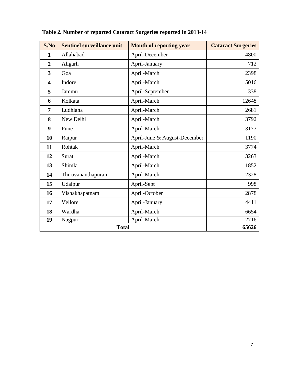| S.No                    | <b>Sentinel surveillance unit</b> | <b>Month of reporting year</b> | <b>Cataract Surgeries</b> |
|-------------------------|-----------------------------------|--------------------------------|---------------------------|
| $\mathbf{1}$            | Allahabad                         | April-December                 | 4800                      |
| $\overline{2}$          | Aligarh                           | April-January                  | 712                       |
| $\overline{\mathbf{3}}$ | Goa                               | April-March                    | 2398                      |
| $\overline{\mathbf{4}}$ | Indore                            | April-March                    | 5016                      |
| 5                       | Jammu                             | April-September                | 338                       |
| 6                       | Kolkata                           | April-March                    | 12648                     |
| $\overline{7}$          | Ludhiana                          | April-March                    | 2681                      |
| 8                       | New Delhi                         | April-March                    | 3792                      |
| 9                       | Pune                              | April-March                    | 3177                      |
| 10                      | Raipur                            | April-June & August-December   | 1190                      |
| 11                      | Rohtak                            | April-March                    | 3774                      |
| 12                      | Surat                             | April-March                    | 3263                      |
| 13                      | Shimla                            | April-March                    | 1852                      |
| 14                      | Thiruvananthapuram                | April-March                    | 2328                      |
| 15                      | Udaipur                           | April-Sept                     | 998                       |
| 16                      | Vishakhapatnam                    | April-October                  | 2878                      |
| 17                      | Vellore                           | April-January                  | 4411                      |
| 18                      | Wardha                            | April-March                    | 6654                      |
| 19                      | Nagpur                            | April-March                    | 2716                      |
|                         | <b>Total</b>                      |                                | 65626                     |

# **Table 2. Number of reported Cataract Surgeries reported in 2013-14**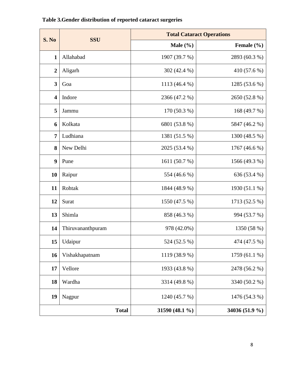| S. No                   | <b>SSU</b>             | <b>Total Cataract Operations</b> |                |  |  |  |  |
|-------------------------|------------------------|----------------------------------|----------------|--|--|--|--|
|                         |                        | Male $(\% )$                     | Female (%)     |  |  |  |  |
| $\mathbf{1}$            | Allahabad              | 1907 (39.7 %)                    | 2893 (60.3 %)  |  |  |  |  |
| $\boldsymbol{2}$        | Aligarh                | 302 (42.4 %)                     | 410 (57.6 %)   |  |  |  |  |
| $\overline{\mathbf{3}}$ | Goa                    | 1113 (46.4 %)                    | 1285 (53.6 %)  |  |  |  |  |
| $\overline{\mathbf{4}}$ | Indore                 | 2366 (47.2 %)                    | 2650 (52.8 %)  |  |  |  |  |
| 5                       | Jammu                  | $170(50.3\%)$                    | 168 (49.7 %)   |  |  |  |  |
| 6                       | Kolkata                | 6801 (53.8 %)                    | 5847 (46.2 %)  |  |  |  |  |
| $\overline{7}$          | Ludhiana               | 1381 (51.5 %)                    | 1300 (48.5 %)  |  |  |  |  |
| 8                       | New Delhi              | 2025 (53.4 %)                    | 1767 (46.6 %)  |  |  |  |  |
| 9                       | Pune                   | 1611 (50.7 %)                    | 1566 (49.3 %)  |  |  |  |  |
| 10                      | Raipur                 | 554 (46.6 %)                     | 636 (53.4 %)   |  |  |  |  |
| 11                      | Rohtak                 | 1844 (48.9 %)                    | 1930 (51.1 %)  |  |  |  |  |
| 12                      | Surat<br>1550 (47.5 %) |                                  | 1713 (52.5 %)  |  |  |  |  |
| 13                      | Shimla                 | 858 (46.3 %)                     | 994 (53.7 %)   |  |  |  |  |
| 14                      | Thiruvananthpuram      | 978 (42.0%)                      | 1350 (58 %)    |  |  |  |  |
| 15                      | Udaipur                | 524 (52.5 %)                     | 474 (47.5 %)   |  |  |  |  |
| 16                      | Vishakhapatnam         | 1119 (38.9 %)                    | 1759 (61.1 %)  |  |  |  |  |
| 17                      | Vellore                | 1933 (43.8 %)                    | 2478 (56.2 %)  |  |  |  |  |
| 18                      | Wardha                 | 3314 (49.8 %)                    | 3340 (50.2 %)  |  |  |  |  |
| 19                      | Nagpur                 | 1240 (45.7 %)                    | 1476 (54.3 %)  |  |  |  |  |
|                         | <b>Total</b>           | 31590 (48.1 %)                   | 34036 (51.9 %) |  |  |  |  |

# **Table 3.Gender distribution of reported cataract surgeries**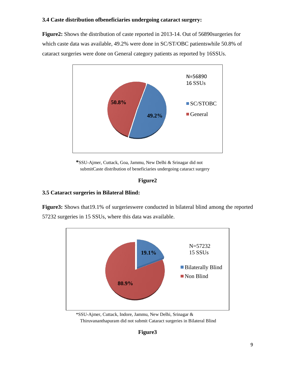#### **3.4 Caste distribution ofbeneficiaries undergoing cataract surgery:**

**Figure2:** Shows the distribution of caste reported in 2013-14. Out of 56890surgeries for which caste data was available, 49.2% were done in SC/ST/OBC patientswhile 50.8% of cataract surgeries were done on General category patients as reported by 16SSUs.



**\***SSU-Ajmer, Cuttack, Goa, Jammu, New Delhi & Srinagar did not submitCaste distribution of beneficiaries undergoing cataract surgery

#### **Figure2**

#### **3.5 Cataract surgeries in Bilateral Blind:**

**Figure3:** Shows that19.1% of surgerieswere conducted in bilateral blind among the reported 57232 surgeries in 15 SSUs, where this data was available.



\*SSU-Ajmer, Cuttack, Indore, Jammu, New Delhi, Srinagar & Thiruvananthapuram did not submit Cataract surgeries in Bilateral Blind

**Figure3**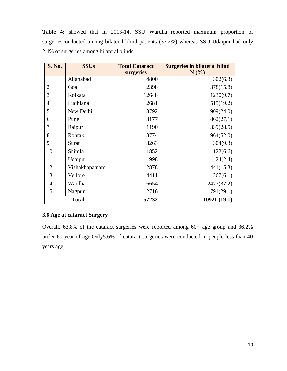| <b>S. No.</b>  | <b>SSUs</b>    | <b>Total Cataract</b><br>surgeries | <b>Surgeries in bilateral blind</b><br>N(%) |
|----------------|----------------|------------------------------------|---------------------------------------------|
| 1              | Allahabad      | 4800                               | 302(6.3)                                    |
| $\overline{2}$ | Goa            | 2398                               | 378(15.8)                                   |
| 3              | Kolkata        | 12648                              | 1230(9.7)                                   |
| $\overline{4}$ | Ludhiana       | 2681                               | 515(19.2)                                   |
| 5              | New Delhi      | 3792                               | 909(24.0)                                   |
| 6              | Pune           | 3177                               | 862(27.1)                                   |
| 7              | Raipur         | 1190                               | 339(28.5)                                   |
| 8              | Rohtak         | 3774                               | 1964(52.0)                                  |
| 9              | Surat          | 3263                               | 304(9.3)                                    |
| 10             | Shimla         | 1852                               | 122(6.6)                                    |
| 11             | Udaipur        | 998                                | 24(2.4)                                     |
| 12             | Vishakhapatnam | 2878                               | 441(15.3)                                   |
| 13             | Vellore        | 4411                               | 267(6.1)                                    |
| 14             | Wardha         | 6654                               | 2473(37.2)                                  |
| 15             | Nagpur         | 2716                               | 791(29.1)                                   |
|                | <b>Total</b>   | 57232                              | 10921 (19.1)                                |

**Table 4:** showed that in 2013-14, SSU Wardha reported maximum proportion of surgeriesconducted among bilateral blind patients (37.2%) whereas SSU Udaipur had only 2.4% of surgeries among bilateral blinds.

#### **3.6 Age at cataract Surgery**

Overall, 63.8% of the cataract surgeries were reported among 60+ age group and 36.2% under 60 year of age.Only5.6% of cataract surgeries were conducted in people less than 40 years age.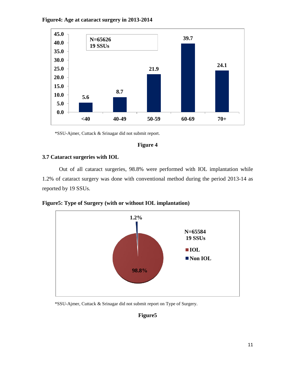

#### **Figure4: Age at cataract surgery in 2013-2014**

\*SSU-Ajmer, Cuttack & Srinagar did not submit report.

#### **Figure 4**

#### **3.7 Cataract surgeries with IOL**

Out of all cataract surgeries, 98.8% were performed with IOL implantation while 1.2% of cataract surgery was done with conventional method during the period 2013-14 as reported by 19 SSUs.

**Figure5: Type of Surgery (with or without IOL implantation)**



\*SSU-Ajmer, Cuttack & Srinagar did not submit report on Type of Surgery.

### **Figure5**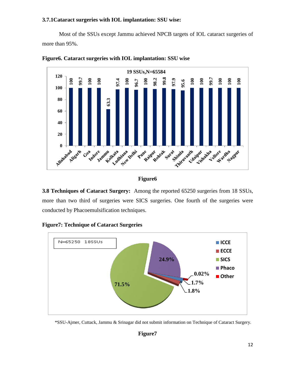#### **3.7.1Cataract surgeries with IOL implantation: SSU wise:**

Most of the SSUs except Jammu achieved NPCB targets of IOL cataract surgeries of more than 95%.





#### **Figure6**

**3.8 Techniques of Cataract Surgery:** Among the reported 65250 surgeries from 18 SSUs, more than two third of surgeries were SICS surgeries. One fourth of the surgeries were conducted by Phacoemulsification techniques.



**Figure7: Technique of Cataract Surgeries**

<sup>\*</sup>SSU-Ajmer, Cuttack, Jammu & Srinagar did not submit information on Technique of Cataract Surgery.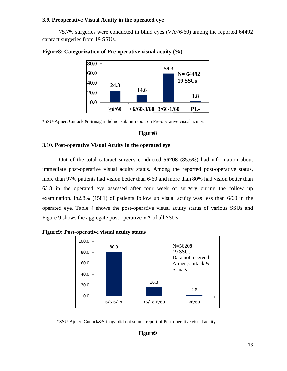#### **3.9. Preoperative Visual Acuity in the operated eye**

75.7% surgeries were conducted in blind eyes (VA<6/60) among the reported 64492 cataract surgeries from 19 SSUs.



#### **Figure8: Categorization of Pre-operative visual acuity (%)**

\*SSU-Ajmer, Cuttack & Srinagar did not submit report on Pre-operative visual acuity.

#### **Figure8**

#### **3.10. Post-operative Visual Acuity in the operated eye**

Out of the total cataract surgery conducted **56208 (**85.6%) had information about immediate post-operative visual acuity status. Among the reported post-operative status, more than 97% patients had vision better than 6/60 and more than 80% had vision better than 6/18 in the operated eye assessed after four week of surgery during the follow up examination. In2.8% (1581) of patients follow up visual acuity was less than 6/60 in the operated eye. Table 4 shows the post-operative visual acuity status of various SSUs and Figure 9 shows the aggregate post-operative VA of all SSUs.



**Figure9: Post-operative visual acuity status**



#### **Figure9**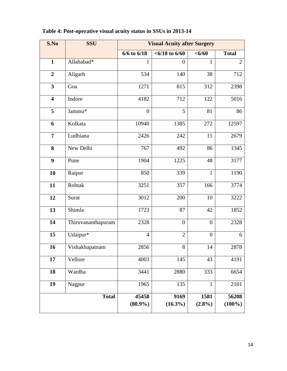| S.No                    | <b>SSU</b>         | <b>Visual Acuity after Surgery</b> |                    |                   |                    |  |  |  |
|-------------------------|--------------------|------------------------------------|--------------------|-------------------|--------------------|--|--|--|
|                         |                    | $6/6$ to $6/18$                    | $< 6/18$ to $6/60$ | < 6/60            | <b>Total</b>       |  |  |  |
| $\mathbf{1}$            | Allahabad*         | 1                                  | $\theta$           | 1                 | $\overline{2}$     |  |  |  |
| $\overline{2}$          | Aligarh            | 534                                | 140                | 38                | 712                |  |  |  |
| 3                       | Goa                | 1271                               | 815                | 312               | 2398               |  |  |  |
| $\overline{\mathbf{4}}$ | Indore             | 4182                               | 712                | 122               | 5016               |  |  |  |
| 5                       | Jammu*             | $\overline{0}$                     | 5                  | 81                | 86                 |  |  |  |
| 6                       | Kolkata            | 10940                              | 1385               | 272               | 12597              |  |  |  |
| $\overline{7}$          | Ludhiana           | 2426                               | 242                | 11                | 2679               |  |  |  |
| 8                       | New Delhi          | 767                                | 492                | 86                | 1345               |  |  |  |
| 9                       | Pune               | 1904                               | 1225               | 48                | 3177               |  |  |  |
| 10                      | Raipur             | 850                                | 339                | $\mathbf{1}$      | 1190               |  |  |  |
| 11                      | Rohtak             | 3251                               | 357                | 166               | 3774               |  |  |  |
| 12                      | Surat              | 3012                               | 200                | 10                | 3222               |  |  |  |
| 13                      | Shimla             | 1723                               | 87                 | 42                | 1852               |  |  |  |
| 14                      | Thiruvananthapuram | 2328                               | $\boldsymbol{0}$   | $\theta$          | 2328               |  |  |  |
| 15                      | Udaipur*           | $\overline{4}$                     | $\overline{2}$     | $\overline{0}$    | 6                  |  |  |  |
| 16                      | Vishakhapatnam     | 2856                               | 8                  | 14                | 2878               |  |  |  |
| 17                      | Vellore            | 4003                               | 145                | 43                | 4191               |  |  |  |
| 18                      | Wardha             | 3441                               | 2880               | 333               | 6654               |  |  |  |
| 19                      | Nagpur             | 1965                               | 135                | 1                 | 2101               |  |  |  |
|                         | <b>Total</b>       | 45458<br>$(80.9\%)$                | 9169<br>$(16.3\%)$ | 1581<br>$(2.8\%)$ | 56208<br>$(100\%)$ |  |  |  |

# **Table 4: Post-operative visual acuity status in SSUs in 2013-14**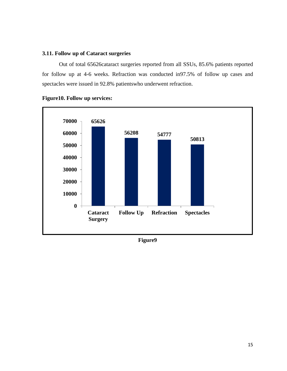#### **3.11. Follow up of Cataract surgeries**

Out of total 65626cataract surgeries reported from all SSUs, 85.6% patients reported for follow up at 4-6 weeks. Refraction was conducted in97.5% of follow up cases and spectacles were issued in 92.8% patientswho underwent refraction.





**Figure9**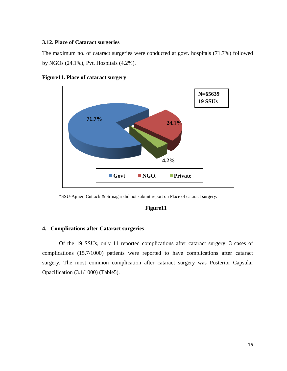#### **3.12. Place of Cataract surgeries**

The maximum no. of cataract surgeries were conducted at govt. hospitals (71.7%) followed by NGOs (24.1%), Pvt. Hospitals (4.2%).





\*SSU-Ajmer, Cuttack & Srinagar did not submit report on Place of cataract surgery.

#### **Figure11**

#### <span id="page-17-0"></span>**4. Complications after Cataract surgeries**

Of the 19 SSUs, only 11 reported complications after cataract surgery. 3 cases of complications (15.7/1000) patients were reported to have complications after cataract surgery. The most common complication after cataract surgery was Posterior Capsular Opacification (3.1/1000) (Table5).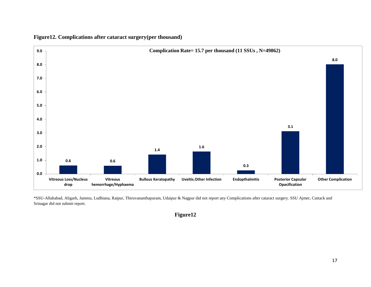

**Figure12. Complications after cataract surgery(per thousand)**

\*SSU-Allahabad, Aligarh, Jammu, Ludhiana, Raipur, Thiruvananthapuram, Udaipur & Nagpur did not report any Complications after cataract surgery. SSU Ajmer, Cuttack and Srinagar did not submit report.

**Figure12**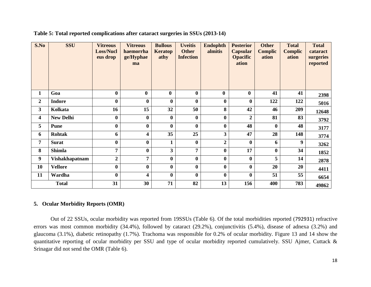| S.No             | <b>SSU</b>            | <b>Vitreous</b><br><b>Loss/Nucl</b><br>eus drop | <b>Vitreous</b><br>haemorrha<br>ge/Hyphae<br>ma | <b>Bullous</b><br><b>Keratop</b><br>athy | <b>Uveitis</b><br><b>Other</b><br><b>Infection</b> | <b>Endophth</b><br>almitis | <b>Posterior</b><br><b>Capsular</b><br><b>Opacific</b><br>ation | <b>Other</b><br><b>Complic</b><br>ation | <b>Total</b><br><b>Complic</b><br>ation | <b>Total</b><br>cataract<br>surgeries<br>reported |
|------------------|-----------------------|-------------------------------------------------|-------------------------------------------------|------------------------------------------|----------------------------------------------------|----------------------------|-----------------------------------------------------------------|-----------------------------------------|-----------------------------------------|---------------------------------------------------|
| $\mathbf{1}$     | Goa                   | $\bf{0}$                                        | $\bf{0}$                                        | $\boldsymbol{0}$                         | $\bf{0}$                                           | $\bf{0}$                   | $\bf{0}$                                                        | 41                                      | 41                                      | 2398                                              |
| $\overline{2}$   | <b>Indore</b>         | $\bf{0}$                                        | $\bf{0}$                                        | $\bf{0}$                                 | $\bf{0}$                                           | $\boldsymbol{0}$           | $\boldsymbol{0}$                                                | 122                                     | 122                                     | 5016                                              |
| 3                | Kolkata               | 16                                              | 15                                              | 32                                       | 50                                                 | 8                          | 42                                                              | 46                                      | 209                                     | 12648                                             |
| 4                | <b>New Delhi</b>      | $\bf{0}$                                        | $\bf{0}$                                        | $\bf{0}$                                 | $\bf{0}$                                           | $\bf{0}$                   | $\overline{2}$                                                  | 81                                      | 83                                      | 3792                                              |
| 5                | <b>Pune</b>           | $\bf{0}$                                        | $\bf{0}$                                        | $\bf{0}$                                 | $\bf{0}$                                           | $\bf{0}$                   | 48                                                              | $\mathbf{0}$                            | 48                                      | 3177                                              |
| 6                | Rohtak                | 6                                               | 4                                               | 35                                       | 25                                                 | $\overline{\mathbf{3}}$    | 47                                                              | 28                                      | 148                                     | 3774                                              |
| 7                | <b>Surat</b>          | $\bf{0}$                                        | $\bf{0}$                                        |                                          | $\bf{0}$                                           | $\overline{2}$             | $\boldsymbol{0}$                                                | 6                                       | 9                                       | 3262                                              |
| 8                | <b>Shimla</b>         | 7                                               | $\bf{0}$                                        | 3                                        | 7                                                  | $\bf{0}$                   | 17                                                              | $\bf{0}$                                | 34                                      | 1852                                              |
| $\boldsymbol{9}$ | <b>Vishakhapatnam</b> | $\boldsymbol{2}$                                | 7                                               | $\bf{0}$                                 | $\bf{0}$                                           | $\bf{0}$                   | $\bf{0}$                                                        | 5                                       | 14                                      | 2878                                              |
| 10               | <b>Vellore</b>        | $\bf{0}$                                        | $\bf{0}$                                        | $\bf{0}$                                 | $\bf{0}$                                           | $\bf{0}$                   | $\bf{0}$                                                        | 20                                      | 20                                      | 4411                                              |
| 11               | Wardha                | $\bf{0}$                                        | 4                                               | $\bf{0}$                                 | $\bf{0}$                                           | $\bf{0}$                   | $\bf{0}$                                                        | 51                                      | 55                                      | 6654                                              |
|                  | <b>Total</b>          | 31                                              | 30                                              | 71                                       | 82                                                 | 13                         | 156                                                             | 400                                     | 783                                     | 49862                                             |

**Table 5: Total reported complications after cataract surgeries in SSUs (2013-14)**

#### **5. Ocular Morbidity Reports (OMR)**

<span id="page-19-0"></span>Out of 22 SSUs, ocular morbidity was reported from 19SSUs (Table 6). Of the total morbidities reported (792931) refractive errors was most common morbidity (34.4%), followed by cataract (29.2%), conjunctivitis (5.4%), disease of adnexa (3.2%) and glaucoma (3.1%), diabetic retinopathy (1.7%). Trachoma was responsible for 0.2% of ocular morbidity. Figure 13 and 14 show the quantitative reporting of ocular morbidity per SSU and type of ocular morbidity reported cumulatively. SSU Ajmer, Cuttack & Srinagar did not send the OMR (Table 6).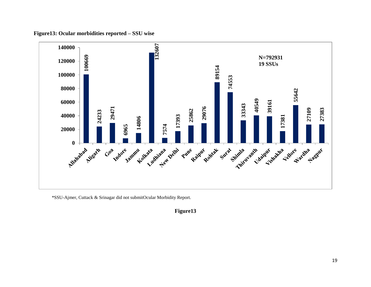**Figure13: Ocular morbidities reported – SSU wise**



\*SSU-Ajmer, Cuttack & Srinagar did not submitOcular Morbidity Report.

**Figure13**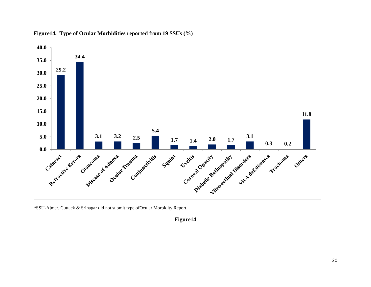

**Figure14. Type of Ocular Morbidities reported from 19 SSUs (%)** 

\*SSU-Ajmer, Cuttack & Srinagar did not submit type ofOcular Morbidity Report.

#### **Figure14**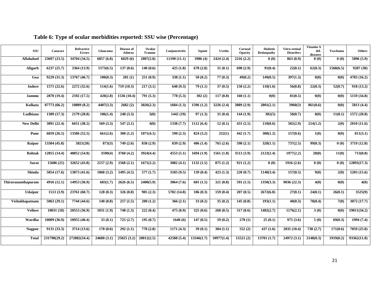| SSU                | <b>Cataract</b> | <b>Refractive</b><br><b>Errors</b> | Glaucoma    | Disease of<br>Adnexa | Ocular<br><b>Trauma</b> | Conjunctivitis        | Squint     | <b>Uveitis</b>        | Corneal<br><b>Opacity</b> | <b>Diabetic</b><br><b>Retinopathy</b> | Vitro-retinal<br><b>Disorders</b> | Vitamin A<br>def.<br>diseases | <b>Trachoma</b> | <b>Others</b> |
|--------------------|-----------------|------------------------------------|-------------|----------------------|-------------------------|-----------------------|------------|-----------------------|---------------------------|---------------------------------------|-----------------------------------|-------------------------------|-----------------|---------------|
| Allahabad          | 23697 (23.5)    | 34704 (34.5)                       | 6857(6.8)   | 6029(6)              | 2807(2.8)               | 11190(11.1)           | 3986 (4)   | 2424(2.4)             | 2216(2.2)                 | 0(0)                                  | 863(0.9)                          | 0(0)                          | 0(0)            | 5896 (5.9)    |
| Aligarh            | 6237(25.7)      | 3364 (13.9)                        | 1573(6.5)   | 137(0.6)             | 140(0.6)                | 425(1.8)              | 678 (2.8)  | 31(0.1)               | 698 (2.9)                 | 91(0.4)                               | 22(0.1)                           | 62(0.3)                       | 1568(6.5)       | 9207 (38)     |
| Goa                | 9229 (31.3)     | 13767 (46.7)                       | 100(0.3)    | 281(1)               | 251(0.9)                | 338(1.1)              | 50(0.2)    | 77(0.3)               | 49(0.2)                   | 149(0.5)                              | 397(1.3)                          | 0(0)                          | 0(0)            | 4783(16.2)    |
| Indore             | 1571(22.6)      | 2272 (32.6)                        | 114(1.6)    | 719 (10.3)           | 217(3.1)                | 648 (9.3)             | 79(1.1)    | 37(0.5)               | 150(2.2)                  | 110(1.6)                              | 56(0.8)                           | $\overline{22(0.3)}$          | 52(0.7)         | 918(13.2)     |
| Jammu              | 2870 (19.4)     | 2592 (17.5)                        | 420(2.8)    | 1536 (10.4)          | 791(5.3)                | 778 (5.3)             | 302(2)     | 117(0.8)              | 160(1.1)                  | 0(0)                                  | 81(0.5)                           | 0(0)                          | 0(0)            | 5159(34.8)    |
| Kolkata            | 87773 (66.2)    | 10889 (8.2)                        | 4407(3.3)   | 2682(2)              | 3026(2.3)               | 1684(1.3)             | 1596(1.2)  | 3226 (2.4)            | 3889 (2.9)                | 2801(2.1)                             | 3960(3)                           | 861(0.6)                      | 0(0)            | 5813 (4.4)    |
| Ludhiana           | 1309(17.3)      | 2179 (28.8)                        | 106(1.4)    | 248(3.3)             | 3(0)                    | 1442 (19)             | 97(1.3)    | 31(0.4)               | 144(1.9)                  | 382(5)                                | 50(0.7)                           | 0(0)                          | 11(0.1)         | 1572 (20.8)   |
| <b>New Delhi</b>   | 3891 (22.4)     | 6651 (38.2)                        | 569 (3.3)   | 547(3.1)             | 4(0)                    | 1338(7.7)             | 1112(6.4)  | 12(0.1)               | 431(2.5)                  | 110(0.6)                              | 502(2.9)                          | 214(1.2)                      | 2(0)            | 2010 (11.6)   |
| Pune               | 6859 (26.5)     | 13586 (52.5)                       | 661(2.6)    | 300(1.2)             | 1071(4.1)               | 590(2.3)              | 824(3.2)   | 252(1)                | 442(1.7)                  | 308(1.2)                              | 157(0.6)                          | 1(0)                          | 0(0)            | 811(3.1)      |
| Raipur             | 13304 (45.8)    | 5821(20)                           | 873(3)      | 749 (2.6)            | 838 (2.9)               | 839(2.9)              | 406(1.4)   | $\overline{765}(2.6)$ | 598 (2.1)                 | 328(1.1)                              | 737(2.5)                          | 99(0.3)                       | 0(0)            | 3719 (12.8)   |
| Rohtak             | 12855 (14.4)    | 48852 (54.8)                       | 3590(4)     | 3760(4.2)            | 3924(4.4)               | 4553(5.1)             | 1694(1.9)  | 1561(1.8)             | 3513(3.9)                 | 2123(2.4)                             | 1977(2.2)                         | 28(0)                         | 11(0)           | 713(0.8)      |
| <b>Surat</b>       | 15686 (21)      | 32652 (43.8)                       | 2157 (2.9)  | 1568(2.1)            | 1671(2.2)               | 3082 $(4.1)$          | 1132(1.5)  | 875(1.2)              | 921(1.2)                  | 0(0)                                  | 1916(2.6)                         | 0(0)                          | 0(0)            | 12893(17.3)   |
| Shimla             | 5854 (17.6)     | 13873(41.6)                        | 1068(3.2)   | 1495 (4.5)           | 577(1.7)                | 3183 (9.5)            | 139(0.4)   | 423(1.3)              | 220(0.7)                  | 1140(3.4)                             | 157(0.5)                          | 9(0)                          | 2(0)            | 5203 (15.6)   |
| Thiruvananthapuram | 4916 (12.1)     | 14953 (36.9)                       | 683(1.7)    | 2626(6.5)            | 2400(5.9)               | 3064 (7.6)            | 601(1.5)   | 321(0.8)              | 591(1.5)                  | 1350(3.3)                             | 9036 (22.3)                       | 4(0)                          | 0(0)            | 4(0)          |
| <b>Udaipur</b>     | 1513(3.9)       | 23761 (60.7)                       | 128(0.3)    | 326(0.8)             | 905(2.3)                | 5782 (14.8)           | 106(0.3)   | 159(0.4)              | 207(0.5)                  | 2672(6.8)                             | 27(0.1)                           | $\overline{24(0.1)}$          | 26(0.1)         | 3525(9)       |
| Vishakhapatnam     | 5063(29.1)      | 7744(44.6)                         | 140(0.8)    | 257(1.5)             | 200(1.2)                | 366(2.1)              | 33(0.2)    | 35(0.2)               | 145(0.8)                  | 193(1.1)                              | 48(0.3)                           | 78(0.4)                       | 7(0)            | 3072 (17.7)   |
| <b>Vellore</b>     | 10031(18)       | 20553 (36.9)                       | 1031(1.9)   | 748(1.3)             | $\overline{222(0.4)}$   | 475(0.9)              | 325(0.6)   | 268(0.5)              | 317(0.6)                  | 1482(2.7)                             | 1176(2.1)                         | 3(0)                          | 0(0)            | 19011(34.2)   |
| Wardha             | 10009 (36.9)    | 10955 (40.4)                       | 33(0.1)     | 725(2.7)             | 195(0.7)                | $\overline{1640}$ (6) | 147(0.5)   | 59(0.2)               | 278(1)                    | 25(0.1)                               | 975(3.6)                          | 5(0)                          | 69(0.3)         | 1994(7.4)     |
| <b>Nagpur</b>      | 9131 (33.3)     | $\overline{3714(13.6)}$            | 170(0.6)    | 292(1.1)             | 770(2.8)                | 1171(4.3)             | 39(0.1)    | 304(1.1)              | 552(2)                    | 437(1.6)                              | 2835 (10.4)                       | 738(2.7)                      | 171(0.6)        | 7059(25.8)    |
| <b>Total</b>       | 231798(29.2)    | 272882(34.4)                       | 24680 (3.1) | 25025(3.2)           | 20012(2.5)              | 42588 (5.4)           | 13346(1.7) | 10977(1.4)            | 15521(2)                  | 13701(1.7)                            | 24972 (3.1)                       | 2148(0.3)                     | 1919(0.2)       | 93362(11.8)   |

# **Table 6: Type of ocular morbidities reported: SSU wise (Percentage)**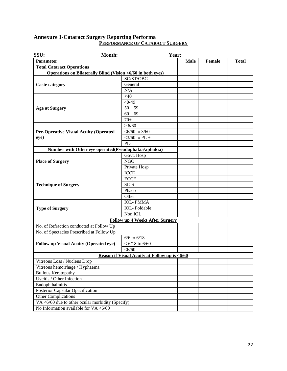#### <span id="page-23-0"></span>**Annexure 1-Cataract Surgery Reporting Performa PERFORMANCE OF CATARACT SURGERY**

| SSU:                                             | Month: |                                                             | Year: |             |               |              |
|--------------------------------------------------|--------|-------------------------------------------------------------|-------|-------------|---------------|--------------|
| <b>Parameter</b>                                 |        |                                                             |       | <b>Male</b> | <b>Female</b> | <b>Total</b> |
| <b>Total Cataract Operations</b>                 |        |                                                             |       |             |               |              |
|                                                  |        | Operations on Bilaterally Blind (Vision <6/60 in both eyes) |       |             |               |              |
|                                                  |        | SC/ST/OBC                                                   |       |             |               |              |
| <b>Caste category</b>                            |        | General                                                     |       |             |               |              |
|                                                  |        | N/A                                                         |       |             |               |              |
|                                                  |        | <40                                                         |       |             |               |              |
|                                                  |        | 40-49                                                       |       |             |               |              |
| <b>Age at Surgery</b>                            |        | $50 - 59$                                                   |       |             |               |              |
|                                                  |        | $60 - 69$                                                   |       |             |               |              |
|                                                  |        | $70+$                                                       |       |             |               |              |
|                                                  |        | $\geq 6/60$                                                 |       |             |               |              |
| <b>Pre-Operative Visual Acuity (Operated</b>     |        | $<$ 6/60 to 3/60                                            |       |             |               |              |
| eye)                                             |        | $<$ 3/60 to PL +                                            |       |             |               |              |
|                                                  |        | PL-                                                         |       |             |               |              |
|                                                  |        | Number with Other eye operated(Pseudophakia/aphakia)        |       |             |               |              |
|                                                  |        | Govt. Hosp                                                  |       |             |               |              |
| <b>Place of Surgery</b>                          |        | <b>NGO</b>                                                  |       |             |               |              |
|                                                  |        | Private Hosp                                                |       |             |               |              |
|                                                  |        | <b>ICCE</b>                                                 |       |             |               |              |
|                                                  |        | <b>ECCE</b>                                                 |       |             |               |              |
| <b>Technique of Surgery</b>                      |        | <b>SICS</b>                                                 |       |             |               |              |
|                                                  |        | Phaco                                                       |       |             |               |              |
|                                                  |        | Other                                                       |       |             |               |              |
|                                                  |        | <b>IOL-PMMA</b>                                             |       |             |               |              |
| <b>Type of Surgery</b>                           |        | <b>IOL-Foldable</b>                                         |       |             |               |              |
|                                                  |        | Non IOL                                                     |       |             |               |              |
|                                                  |        | <b>Follow up 4 Weeks After Surgery</b>                      |       |             |               |              |
| No. of Refraction conducted at Follow Up         |        |                                                             |       |             |               |              |
| No. of Spectacles Prescribed at Follow Up        |        |                                                             |       |             |               |              |
|                                                  |        | $6/6$ to $6/18$                                             |       |             |               |              |
| <b>Follow up Visual Acuity (Operated eye)</b>    |        | $< 6/18$ to 6/60                                            |       |             |               |              |
|                                                  |        | < 6/60                                                      |       |             |               |              |
|                                                  |        | Reason if Visual Acuity at Follow up is <6/60               |       |             |               |              |
| Vitreous Loss / Nucleus Dron                     |        |                                                             |       |             |               |              |
| Vitreous hemorrhage / Hyphaema                   |        |                                                             |       |             |               |              |
| <b>Bullous Keratopathy</b>                       |        |                                                             |       |             |               |              |
| Uveitis / Other Infection                        |        |                                                             |       |             |               |              |
| Endophthalmitis                                  |        |                                                             |       |             |               |              |
| Posterior Capsular Opacification                 |        |                                                             |       |             |               |              |
| <b>Other Complications</b>                       |        |                                                             |       |             |               |              |
| VA <6/60 due to other ocular morbidity (Specify) |        |                                                             |       |             |               |              |
| No Information available for $VA < 6/60$         |        |                                                             |       |             |               |              |